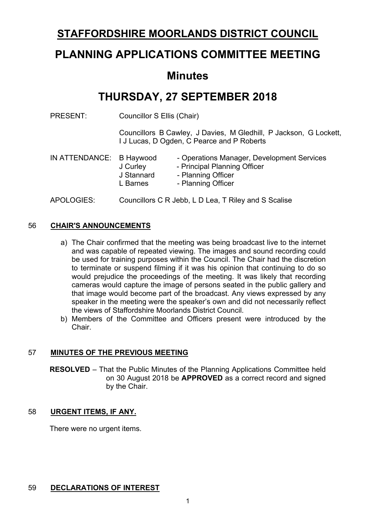## **STAFFORDSHIRE MOORLANDS DISTRICT COUNCIL**

# **PLANNING APPLICATIONS COMMITTEE MEETING**

## **Minutes**

# **THURSDAY, 27 SEPTEMBER 2018**

PRESENT: Councillor S Ellis (Chair)

Councillors B Cawley, J Davies, M Gledhill, P Jackson, G Lockett, I J Lucas, D Ogden, C Pearce and P Roberts

| IN ATTENDANCE: B Haywood | J Curley<br>J Stannard<br>L Barnes | - Operations Manager, Development Services<br>- Principal Planning Officer<br>- Planning Officer<br>- Planning Officer |
|--------------------------|------------------------------------|------------------------------------------------------------------------------------------------------------------------|
| APOLOGIES:               |                                    | Councillors C R Jebb, L D Lea, T Riley and S Scalise                                                                   |

## 56 **CHAIR'S ANNOUNCEMENTS**

- a) The Chair confirmed that the meeting was being broadcast live to the internet and was capable of repeated viewing. The images and sound recording could be used for training purposes within the Council. The Chair had the discretion to terminate or suspend filming if it was his opinion that continuing to do so would prejudice the proceedings of the meeting. It was likely that recording cameras would capture the image of persons seated in the public gallery and that image would become part of the broadcast. Any views expressed by any speaker in the meeting were the speaker's own and did not necessarily reflect the views of Staffordshire Moorlands District Council.
- b) Members of the Committee and Officers present were introduced by the Chair.

### 57 **MINUTES OF THE PREVIOUS MEETING**

**RESOLVED** – That the Public Minutes of the Planning Applications Committee held on 30 August 2018 be **APPROVED** as a correct record and signed by the Chair.

### 58 **URGENT ITEMS, IF ANY.**

There were no urgent items.

## 59 **DECLARATIONS OF INTEREST**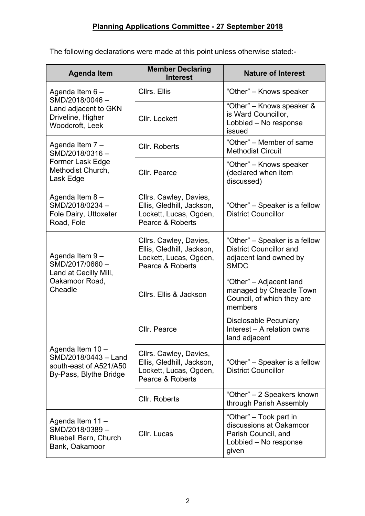The following declarations were made at this point unless otherwise stated:-

| <b>Agenda Item</b>                                                                           | <b>Member Declaring</b><br><b>Interest</b>                                                        | <b>Nature of Interest</b>                                                                                  |
|----------------------------------------------------------------------------------------------|---------------------------------------------------------------------------------------------------|------------------------------------------------------------------------------------------------------------|
| Agenda Item 6-                                                                               | Cllrs. Ellis                                                                                      | "Other" – Knows speaker                                                                                    |
| SMD/2018/0046-<br>Land adjacent to GKN<br>Driveline, Higher<br>Woodcroft, Leek               | Cllr. Lockett                                                                                     | "Other" - Knows speaker &<br>is Ward Councillor,<br>Lobbied - No response<br>issued                        |
| Agenda Item 7 -<br>SMD/2018/0316-                                                            | Cllr. Roberts                                                                                     | "Other" – Member of same<br><b>Methodist Circuit</b>                                                       |
| Former Lask Edge<br>Methodist Church,<br>Lask Edge                                           | Cllr. Pearce                                                                                      | "Other" – Knows speaker<br>(declared when item<br>discussed)                                               |
| Agenda Item 8-<br>SMD/2018/0234-<br>Fole Dairy, Uttoxeter<br>Road, Fole                      | Cllrs. Cawley, Davies,<br>Ellis, Gledhill, Jackson,<br>Lockett, Lucas, Ogden,<br>Pearce & Roberts | "Other" – Speaker is a fellow<br><b>District Councillor</b>                                                |
| Agenda Item 9-<br>SMD/2017/0660-<br>Land at Cecilly Mill,                                    | Cllrs. Cawley, Davies,<br>Ellis, Gledhill, Jackson,<br>Lockett, Lucas, Ogden,<br>Pearce & Roberts | "Other" – Speaker is a fellow<br><b>District Councillor and</b><br>adjacent land owned by<br><b>SMDC</b>   |
| Oakamoor Road,<br>Cheadle                                                                    | Cllrs. Ellis & Jackson                                                                            | "Other" – Adjacent land<br>managed by Cheadle Town<br>Council, of which they are<br>members                |
|                                                                                              | Cllr. Pearce                                                                                      | <b>Disclosable Pecuniary</b><br>Interest - A relation owns<br>land adjacent                                |
| Agenda Item 10 -<br>SMD/2018/0443 - Land<br>south-east of A521/A50<br>By-Pass, Blythe Bridge | Cllrs. Cawley, Davies,<br>Ellis, Gledhill, Jackson,<br>Lockett, Lucas, Ogden,<br>Pearce & Roberts | "Other" – Speaker is a fellow<br><b>District Councillor</b>                                                |
|                                                                                              | Cllr. Roberts                                                                                     | "Other" – 2 Speakers known<br>through Parish Assembly                                                      |
| Agenda Item 11 -<br>SMD/2018/0389-<br><b>Bluebell Barn, Church</b><br>Bank, Oakamoor         | Cllr. Lucas                                                                                       | "Other" – Took part in<br>discussions at Oakamoor<br>Parish Council, and<br>Lobbied - No response<br>given |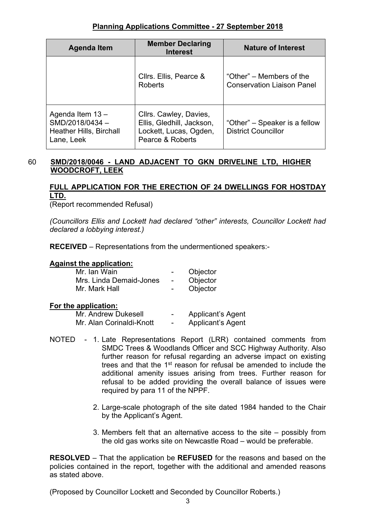| <b>Agenda Item</b>                                                                 | <b>Member Declaring</b><br><b>Interest</b>                                                        | <b>Nature of Interest</b>                                     |
|------------------------------------------------------------------------------------|---------------------------------------------------------------------------------------------------|---------------------------------------------------------------|
|                                                                                    | Cllrs. Ellis, Pearce &<br><b>Roberts</b>                                                          | "Other" – Members of the<br><b>Conservation Liaison Panel</b> |
| Agenda Item 13 -<br>SMD/2018/0434-<br><b>Heather Hills, Birchall</b><br>Lane, Leek | Cllrs. Cawley, Davies,<br>Ellis, Gledhill, Jackson,<br>Lockett, Lucas, Ogden,<br>Pearce & Roberts | "Other" – Speaker is a fellow<br><b>District Councillor</b>   |

### 60 **SMD/2018/0046 - LAND ADJACENT TO GKN DRIVELINE LTD, HIGHER WOODCROFT, LEEK**

## **FULL APPLICATION FOR THE ERECTION OF 24 DWELLINGS FOR HOSTDAY LTD.**

(Report recommended Refusal)

*(Councillors Ellis and Lockett had declared "other" interests, Councillor Lockett had declared a lobbying interest.)*

**RECEIVED** – Representations from the undermentioned speakers:-

#### **Against the application:**

| Mr. Ian Wain            | $\sim$                   | Objector |
|-------------------------|--------------------------|----------|
| Mrs. Linda Demaid-Jones | $\overline{\phantom{0}}$ | Objector |
| Mr. Mark Hall           | $\sim$                   | Objector |

#### **For the application:**

| Mr. Andrew Dukesell      | $\overline{\phantom{0}}$ | <b>Applicant's Agent</b> |
|--------------------------|--------------------------|--------------------------|
| Mr. Alan Corinaldi-Knott | $\overline{\phantom{0}}$ | Applicant's Agent        |

- NOTED 1. Late Representations Report (LRR) contained comments from SMDC Trees & Woodlands Officer and SCC Highway Authority. Also further reason for refusal regarding an adverse impact on existing trees and that the 1<sup>st</sup> reason for refusal be amended to include the additional amenity issues arising from trees. Further reason for refusal to be added providing the overall balance of issues were required by para 11 of the NPPF.
	- 2. Large-scale photograph of the site dated 1984 handed to the Chair by the Applicant's Agent.
	- 3. Members felt that an alternative access to the site possibly from the old gas works site on Newcastle Road – would be preferable.

**RESOLVED** – That the application be **REFUSED** for the reasons and based on the policies contained in the report, together with the additional and amended reasons as stated above.

(Proposed by Councillor Lockett and Seconded by Councillor Roberts.)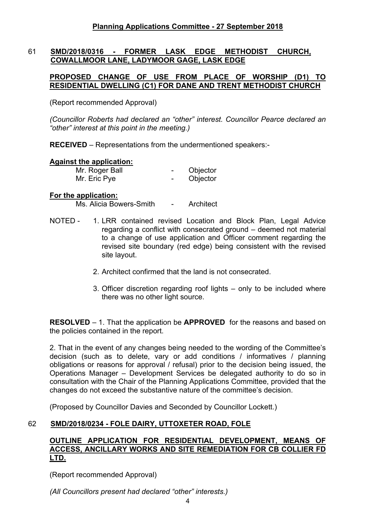## 61 **SMD/2018/0316 - FORMER LASK EDGE METHODIST CHURCH, COWALLMOOR LANE, LADYMOOR GAGE, LASK EDGE**

## **PROPOSED CHANGE OF USE FROM PLACE OF WORSHIP (D1) TO RESIDENTIAL DWELLING (C1) FOR DANE AND TRENT METHODIST CHURCH**

(Report recommended Approval)

*(Councillor Roberts had declared an "other" interest. Councillor Pearce declared an "other" interest at this point in the meeting.)*

**RECEIVED** – Representations from the undermentioned speakers:-

### **Against the application:**

| Mr. Roger Ball | Objector |
|----------------|----------|
| Mr. Eric Pye   | Objector |

### **For the application:**

Ms. Alicia Bowers-Smith - Architect

- NOTED 1. LRR contained revised Location and Block Plan, Legal Advice regarding a conflict with consecrated ground – deemed not material to a change of use application and Officer comment regarding the revised site boundary (red edge) being consistent with the revised site layout.
	- 2. Architect confirmed that the land is not consecrated.
	- 3. Officer discretion regarding roof lights only to be included where there was no other light source.

**RESOLVED** – 1. That the application be **APPROVED** for the reasons and based on the policies contained in the report.

2. That in the event of any changes being needed to the wording of the Committee's decision (such as to delete, vary or add conditions / informatives / planning obligations or reasons for approval / refusal) prior to the decision being issued, the Operations Manager – Development Services be delegated authority to do so in consultation with the Chair of the Planning Applications Committee, provided that the changes do not exceed the substantive nature of the committee's decision.

(Proposed by Councillor Davies and Seconded by Councillor Lockett.)

## 62 **SMD/2018/0234 - FOLE DAIRY, UTTOXETER ROAD, FOLE**

#### **OUTLINE APPLICATION FOR RESIDENTIAL DEVELOPMENT, MEANS OF ACCESS, ANCILLARY WORKS AND SITE REMEDIATION FOR CB COLLIER FD LTD.**

(Report recommended Approval)

*(All Councillors present had declared "other" interests.)*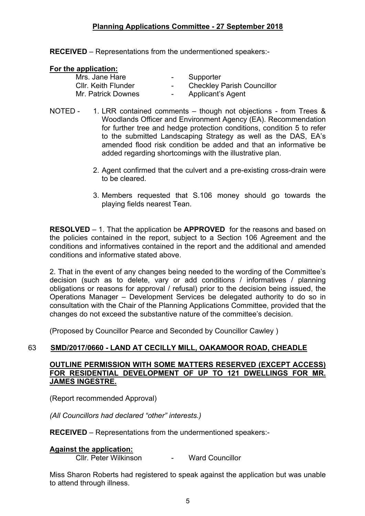**RECEIVED** – Representations from the undermentioned speakers:-

#### **For the application:**

| Mrs. Jane Hare             | $\sim$ | Supporter                         |
|----------------------------|--------|-----------------------------------|
| <b>CIIr. Keith Flunder</b> | $\sim$ | <b>Checkley Parish Councillor</b> |
| Mr. Patrick Downes         | $\sim$ | Applicant's Agent                 |

- NOTED 1. LRR contained comments though not objections from Trees & Woodlands Officer and Environment Agency (EA). Recommendation for further tree and hedge protection conditions, condition 5 to refer to the submitted Landscaping Strategy as well as the DAS, EA's amended flood risk condition be added and that an informative be added regarding shortcomings with the illustrative plan.
	- 2. Agent confirmed that the culvert and a pre-existing cross-drain were to be cleared.
	- 3. Members requested that S.106 money should go towards the playing fields nearest Tean.

**RESOLVED** – 1. That the application be **APPROVED** for the reasons and based on the policies contained in the report, subject to a Section 106 Agreement and the conditions and informatives contained in the report and the additional and amended conditions and informative stated above.

2. That in the event of any changes being needed to the wording of the Committee's decision (such as to delete, vary or add conditions / informatives / planning obligations or reasons for approval / refusal) prior to the decision being issued, the Operations Manager – Development Services be delegated authority to do so in consultation with the Chair of the Planning Applications Committee, provided that the changes do not exceed the substantive nature of the committee's decision.

(Proposed by Councillor Pearce and Seconded by Councillor Cawley )

## 63 **SMD/2017/0660 - LAND AT CECILLY MILL, OAKAMOOR ROAD, CHEADLE**

### **OUTLINE PERMISSION WITH SOME MATTERS RESERVED (EXCEPT ACCESS) FOR RESIDENTIAL DEVELOPMENT OF UP TO 121 DWELLINGS FOR MR. JAMES INGESTRE.**

(Report recommended Approval)

*(All Councillors had declared "other" interests.)*

**RECEIVED** – Representations from the undermentioned speakers:-

## **Against the application:**

Cllr. Peter Wilkinson - Ward Councillor

Miss Sharon Roberts had registered to speak against the application but was unable to attend through illness.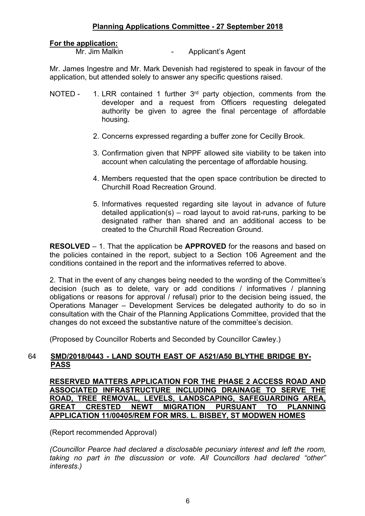### **For the application:**

Mr. Jim Malkin **-** Applicant's Agent

Mr. James Ingestre and Mr. Mark Devenish had registered to speak in favour of the application, but attended solely to answer any specific questions raised.

- NOTED 1. LRR contained 1 further  $3<sup>rd</sup>$  party objection, comments from the developer and a request from Officers requesting delegated authority be given to agree the final percentage of affordable housing.
	- 2. Concerns expressed regarding a buffer zone for Cecilly Brook.
	- 3. Confirmation given that NPPF allowed site viability to be taken into account when calculating the percentage of affordable housing.
	- 4. Members requested that the open space contribution be directed to Churchill Road Recreation Ground.
	- 5. Informatives requested regarding site layout in advance of future detailed application(s) – road layout to avoid rat-runs, parking to be designated rather than shared and an additional access to be created to the Churchill Road Recreation Ground.

**RESOLVED** – 1. That the application be **APPROVED** for the reasons and based on the policies contained in the report, subject to a Section 106 Agreement and the conditions contained in the report and the informatives referred to above.

2. That in the event of any changes being needed to the wording of the Committee's decision (such as to delete, vary or add conditions / informatives / planning obligations or reasons for approval / refusal) prior to the decision being issued, the Operations Manager – Development Services be delegated authority to do so in consultation with the Chair of the Planning Applications Committee, provided that the changes do not exceed the substantive nature of the committee's decision.

(Proposed by Councillor Roberts and Seconded by Councillor Cawley.)

## 64 **SMD/2018/0443 - LAND SOUTH EAST OF A521/A50 BLYTHE BRIDGE BY-PASS**

**RESERVED MATTERS APPLICATION FOR THE PHASE 2 ACCESS ROAD AND ASSOCIATED INFRASTRUCTURE INCLUDING DRAINAGE TO SERVE THE ROAD, TREE REMOVAL, LEVELS, LANDSCAPING, SAFEGUARDING AREA, GREAT CRESTED NEWT MIGRATION PURSUANT TO PLANNING APPLICATION 11/00405/REM FOR MRS. L. BISBEY, ST MODWEN HOMES**

(Report recommended Approval)

*(Councillor Pearce had declared a disclosable pecuniary interest and left the room, taking no part in the discussion or vote. All Councillors had declared "other" interests.)*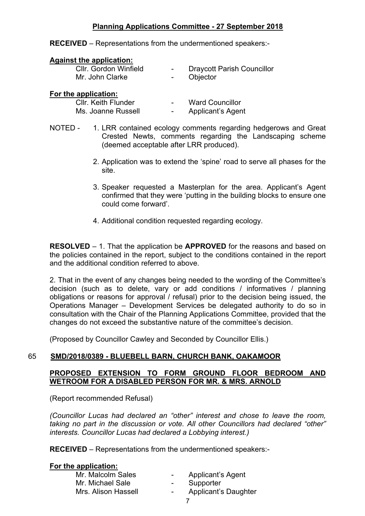**RECEIVED** – Representations from the undermentioned speakers:-

#### **Against the application:**

| Cllr. Gordon Winfield | $\sim$ 100 $\mu$ | <b>Draycott Parish Councillor</b> |
|-----------------------|------------------|-----------------------------------|
| Mr. John Clarke       | $\sim$ 100 $\mu$ | Objector                          |
|                       |                  |                                   |

#### **For the application:**

| <b>CIIr. Keith Flunder</b> | $\overline{\phantom{0}}$ | <b>Ward Councillor</b>   |
|----------------------------|--------------------------|--------------------------|
| Ms. Joanne Russell         | -                        | <b>Applicant's Agent</b> |

- NOTED 1. LRR contained ecology comments regarding hedgerows and Great Crested Newts, comments regarding the Landscaping scheme (deemed acceptable after LRR produced).
	- 2. Application was to extend the 'spine' road to serve all phases for the site.
	- 3. Speaker requested a Masterplan for the area. Applicant's Agent confirmed that they were 'putting in the building blocks to ensure one could come forward'.
	- 4. Additional condition requested regarding ecology.

**RESOLVED** – 1. That the application be **APPROVED** for the reasons and based on the policies contained in the report, subject to the conditions contained in the report and the additional condition referred to above.

2. That in the event of any changes being needed to the wording of the Committee's decision (such as to delete, vary or add conditions / informatives / planning obligations or reasons for approval / refusal) prior to the decision being issued, the Operations Manager – Development Services be delegated authority to do so in consultation with the Chair of the Planning Applications Committee, provided that the changes do not exceed the substantive nature of the committee's decision.

(Proposed by Councillor Cawley and Seconded by Councillor Ellis.)

## 65 **SMD/2018/0389 - BLUEBELL BARN, CHURCH BANK, OAKAMOOR**

## **PROPOSED EXTENSION TO FORM GROUND FLOOR BEDROOM AND WETROOM FOR A DISABLED PERSON FOR MR. & MRS. ARNOLD**

(Report recommended Refusal)

*(Councillor Lucas had declared an "other" interest and chose to leave the room, taking no part in the discussion or vote. All other Councillors had declared "other" interests. Councillor Lucas had declared a Lobbying interest.)*

**RECEIVED** – Representations from the undermentioned speakers:-

### **For the application:**

| $\sim$ | <b>Applicant's Agent</b>    |
|--------|-----------------------------|
|        | Supporter                   |
| $\sim$ | <b>Applicant's Daughter</b> |
|        |                             |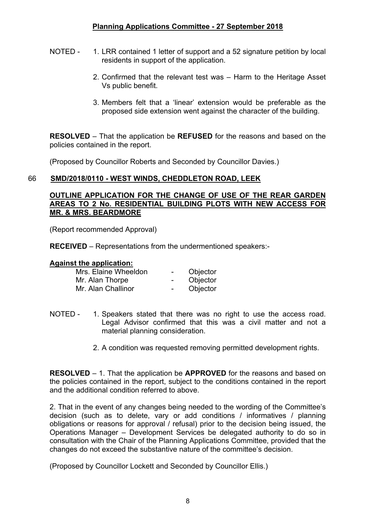- NOTED 1. LRR contained 1 letter of support and a 52 signature petition by local residents in support of the application.
	- 2. Confirmed that the relevant test was Harm to the Heritage Asset Vs public benefit.
	- 3. Members felt that a 'linear' extension would be preferable as the proposed side extension went against the character of the building.

**RESOLVED** – That the application be **REFUSED** for the reasons and based on the policies contained in the report.

(Proposed by Councillor Roberts and Seconded by Councillor Davies.)

## 66 **SMD/2018/0110 - WEST WINDS, CHEDDLETON ROAD, LEEK**

### **OUTLINE APPLICATION FOR THE CHANGE OF USE OF THE REAR GARDEN AREAS TO 2 No. RESIDENTIAL BUILDING PLOTS WITH NEW ACCESS FOR MR. & MRS. BEARDMORE**

(Report recommended Approval)

**RECEIVED** – Representations from the undermentioned speakers:-

### **Against the application:**

| Mrs. Elaine Wheeldon | $\overline{\phantom{a}}$ | Objector |
|----------------------|--------------------------|----------|
| Mr. Alan Thorpe      | $\overline{\phantom{0}}$ | Objector |
| Mr. Alan Challinor   | $\overline{\phantom{0}}$ | Objector |

- NOTED 1. Speakers stated that there was no right to use the access road. Legal Advisor confirmed that this was a civil matter and not a material planning consideration.
	- 2. A condition was requested removing permitted development rights.

**RESOLVED** – 1. That the application be **APPROVED** for the reasons and based on the policies contained in the report, subject to the conditions contained in the report and the additional condition referred to above.

2. That in the event of any changes being needed to the wording of the Committee's decision (such as to delete, vary or add conditions / informatives / planning obligations or reasons for approval / refusal) prior to the decision being issued, the Operations Manager – Development Services be delegated authority to do so in consultation with the Chair of the Planning Applications Committee, provided that the changes do not exceed the substantive nature of the committee's decision.

(Proposed by Councillor Lockett and Seconded by Councillor Ellis.)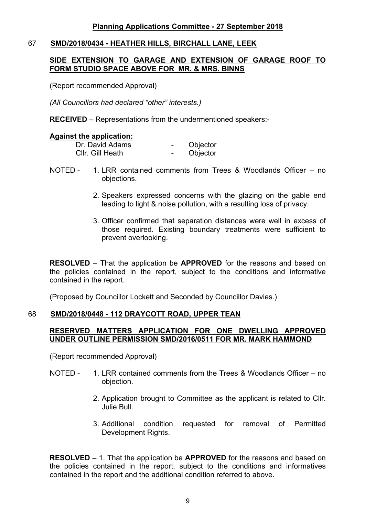### 67 **SMD/2018/0434 - HEATHER HILLS, BIRCHALL LANE, LEEK**

### **SIDE EXTENSION TO GARAGE AND EXTENSION OF GARAGE ROOF TO FORM STUDIO SPACE ABOVE FOR MR. & MRS. BINNS**

(Report recommended Approval)

*(All Councillors had declared "other" interests.)*

**RECEIVED** – Representations from the undermentioned speakers:-

#### **Against the application:**

| Dr. David Adams  | Objector |
|------------------|----------|
| Cllr. Gill Heath | Objector |

- NOTED 1. LRR contained comments from Trees & Woodlands Officer no objections.
	- 2. Speakers expressed concerns with the glazing on the gable end leading to light & noise pollution, with a resulting loss of privacy.
	- 3. Officer confirmed that separation distances were well in excess of those required. Existing boundary treatments were sufficient to prevent overlooking.

**RESOLVED** – That the application be **APPROVED** for the reasons and based on the policies contained in the report, subject to the conditions and informative contained in the report.

(Proposed by Councillor Lockett and Seconded by Councillor Davies.)

### 68 **SMD/2018/0448 - 112 DRAYCOTT ROAD, UPPER TEAN**

### **RESERVED MATTERS APPLICATION FOR ONE DWELLING APPROVED UNDER OUTLINE PERMISSION SMD/2016/0511 FOR MR. MARK HAMMOND**

(Report recommended Approval)

- NOTED 1. LRR contained comments from the Trees & Woodlands Officer no objection.
	- 2. Application brought to Committee as the applicant is related to Cllr. Julie Bull.
	- 3. Additional condition requested for removal of Permitted Development Rights.

**RESOLVED** – 1. That the application be **APPROVED** for the reasons and based on the policies contained in the report, subject to the conditions and informatives contained in the report and the additional condition referred to above.